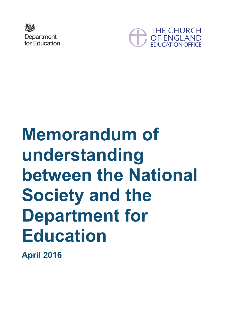



# **Memorandum of understanding between the National Society and the Department for Education**

<span id="page-0-0"></span>**April 2016**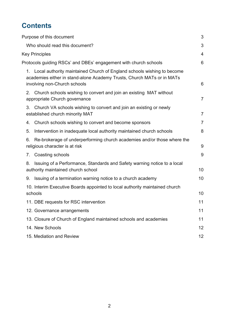# **Contents**

| Purpose of this document                                                                                                                                                            | 3              |
|-------------------------------------------------------------------------------------------------------------------------------------------------------------------------------------|----------------|
| Who should read this document?                                                                                                                                                      | 3              |
| <b>Key Principles</b>                                                                                                                                                               | 4              |
| Protocols guiding RSCs' and DBEs' engagement with church schools                                                                                                                    | 6              |
| 1. Local authority maintained Church of England schools wishing to become<br>academies either in stand-alone Academy Trusts, Church MATs or in MATs<br>involving non-Church schools | 6              |
| Church schools wishing to convert and join an existing MAT without<br>2.<br>appropriate Church governance                                                                           | 7              |
| 3.<br>Church VA schools wishing to convert and join an existing or newly<br>established church minority MAT                                                                         | $\overline{7}$ |
| Church schools wishing to convert and become sponsors<br>4.                                                                                                                         | $\overline{7}$ |
| 5.<br>Intervention in inadequate local authority maintained church schools                                                                                                          | 8              |
| 6.<br>Re-brokerage of underperforming church academies and/or those where the<br>religious character is at risk                                                                     | $9\,$          |
| Coasting schools<br>7.                                                                                                                                                              | 9              |
| Issuing of a Performance, Standards and Safety warning notice to a local<br>8.<br>authority maintained church school                                                                | 10             |
| Issuing of a termination warning notice to a church academy<br>9.                                                                                                                   | 10             |
| 10. Interim Executive Boards appointed to local authority maintained church<br>schools                                                                                              | 10             |
| 11. DBE requests for RSC intervention                                                                                                                                               | 11             |
| 12. Governance arrangements                                                                                                                                                         | 11             |
| 13. Closure of Church of England maintained schools and academies                                                                                                                   | 11             |
| 14. New Schools                                                                                                                                                                     | 12             |
| 15. Mediation and Review                                                                                                                                                            | 12             |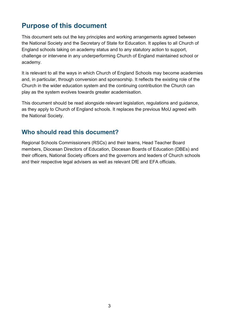## <span id="page-2-0"></span>**Purpose of this document**

This document sets out the key principles and working arrangements agreed between the National Society and the Secretary of State for Education. It applies to all Church of England schools taking on academy status and to any statutory action to support, challenge or intervene in any underperforming Church of England maintained school or academy.

It is relevant to all the ways in which Church of England Schools may become academies and, in particular, through conversion and sponsorship. It reflects the existing role of the Church in the wider education system and the continuing contribution the Church can play as the system evolves towards greater academisation.

This document should be read alongside relevant legislation, regulations and guidance, as they apply to Church of England schools. It replaces the previous MoU agreed with the National Society.

#### <span id="page-2-1"></span>**Who should read this document?**

Regional Schools Commissioners (RSCs) and their teams, Head Teacher Board members, Diocesan Directors of Education, Diocesan Boards of Education (DBEs) and their officers, National Society officers and the governors and leaders of Church schools and their respective legal advisers as well as relevant DfE and EFA officials.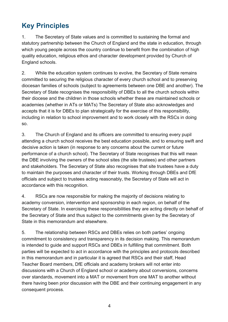## <span id="page-3-0"></span>**Key Principles**

1. The Secretary of State values and is committed to sustaining the formal and statutory partnership between the Church of England and the state in education, through which young people across the country continue to benefit from the combination of high quality education, religious ethos and character development provided by Church of England schools.

2. While the education system continues to evolve, the Secretary of State remains committed to securing the religious character of every church school and to preserving diocesan families of schools (subject to agreements between one DBE and another). The Secretary of State recognises the responsibility of DBEs to all the church schools within their diocese and the children in those schools whether these are maintained schools or academies (whether in ATs or MATs) The Secretary of State also acknowledges and accepts that it is for DBEs to plan strategically for the exercise of this responsibility, including in relation to school improvement and to work closely with the RSCs in doing so.

3. The Church of England and its officers are committed to ensuring every pupil attending a church school receives the best education possible, and to ensuring swift and decisive action is taken (in response to any concerns about the current or future performance of a church school). The Secretary of State recognises that this will mean the DBE involving the owners of the school sites (the site trustees) and other partners and stakeholders. The Secretary of State also recognises that site trustees have a duty to maintain the purposes and character of their trusts. Working through DBEs and DfE officials and subject to trustees acting reasonably, the Secretary of State will act in accordance with this recognition.

4. RSCs are now responsible for making the majority of decisions relating to academy conversion, intervention and sponsorship in each region, on behalf of the Secretary of State. In exercising these responsibilities they are acting directly on behalf of the Secretary of State and thus subject to the commitments given by the Secretary of State in this memorandum and elsewhere.

5. The relationship between RSCs and DBEs relies on both parties' ongoing commitment to consistency and transparency in its decision making. This memorandum is intended to guide and support RSCs and DBEs in fulfilling that commitment. Both parties will be expected to act in accordance with the principles and protocols described in this memorandum and in particular it is agreed that RSCs and their staff, Head Teacher Board members, DfE officials and academy brokers will not enter into discussions with a Church of England school or academy about conversions, concerns over standards, movement into a MAT or movement from one MAT to another without there having been prior discussion with the DBE and their continuing engagement in any consequent process.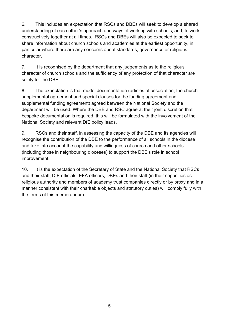6. This includes an expectation that RSCs and DBEs will seek to develop a shared understanding of each other's approach and ways of working with schools, and, to work constructively together at all times. RSCs and DBEs will also be expected to seek to share information about church schools and academies at the earliest opportunity, in particular where there are any concerns about standards, governance or religious character.

7. It is recognised by the department that any judgements as to the religious character of church schools and the sufficiency of any protection of that character are solely for the DBE.

8. The expectation is that model documentation (articles of association, the church supplemental agreement and special clauses for the funding agreement and supplemental funding agreement) agreed between the National Society and the department will be used. Where the DBE and RSC agree at their joint discretion that bespoke documentation is required, this will be formulated with the involvement of the National Society and relevant DfE policy leads.

9. RSCs and their staff, in assessing the capacity of the DBE and its agencies will recognise the contribution of the DBE to the performance of all schools in the diocese and take into account the capability and willingness of church and other schools (including those in neighbouring dioceses) to support the DBE's role in school improvement.

10. It is the expectation of the Secretary of State and the National Society that RSCs and their staff, DfE officials, EFA officers, DBEs and their staff (in their capacities as religious authority and members of academy trust companies directly or by proxy and in a manner consistent with their charitable objects and statutory duties) will comply fully with the terms of this memorandum.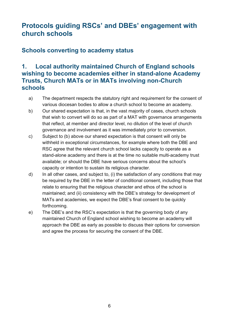## <span id="page-5-0"></span>**Protocols guiding RSCs' and DBEs' engagement with church schools**

#### **Schools converting to academy status**

#### <span id="page-5-1"></span>**1. Local authority maintained Church of England schools wishing to become academies either in stand-alone Academy Trusts, Church MATs or in MATs involving non-Church schools**

- a) The department respects the statutory right and requirement for the consent of various diocesan bodies to allow a church school to become an academy.
- b) Our shared expectation is that, in the vast majority of cases, church schools that wish to convert will do so as part of a MAT with governance arrangements that reflect, at member and director level, no dilution of the level of church governance and involvement as it was immediately prior to conversion.
- c) Subject to (b) above our shared expectation is that consent will only be withheld in exceptional circumstances, for example where both the DBE and RSC agree that the relevant church school lacks capacity to operate as a stand-alone academy and there is at the time no suitable multi-academy trust available; or should the DBE have serious concerns about the school's capacity or intention to sustain its religious character.
- d) In all other cases, and subject to, (i) the satisfaction of any conditions that may be required by the DBE in the letter of conditional consent, including those that relate to ensuring that the religious character and ethos of the school is maintained; and (ii) consistency with the DBE's strategy for development of MATs and academies, we expect the DBE's final consent to be quickly forthcoming.
- e) The DBE's and the RSC's expectation is that the governing body of any maintained Church of England school wishing to become an academy will approach the DBE as early as possible to discuss their options for conversion and agree the process for securing the consent of the DBE.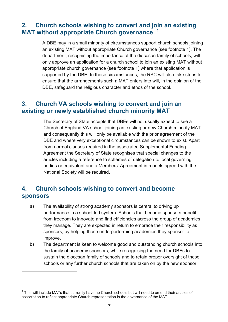#### <span id="page-6-0"></span>**2. Church schools wishing to convert and join an existing MAT without appropriate Church governance [1](#page-0-0)**

A DBE may in a small minority of circumstances support church schools joining an existing MAT without appropriate Church governance (see footnote 1). The department, recognising the importance of the diocesan family of schools, will only approve an application for a church school to join an existing MAT without appropriate church governance (see footnote 1) where that application is supported by the DBE. In those circumstances, the RSC will also take steps to ensure that the arrangements such a MAT enters into will, in the opinion of the DBE, safeguard the religious character and ethos of the school.

#### <span id="page-6-1"></span>**3. Church VA schools wishing to convert and join an existing or newly established church minority MAT**

The Secretary of State accepts that DBEs will not usually expect to see a Church of England VA school joining an existing or new Church minority MAT and consequently this will only be available with the prior agreement of the DBE and where very exceptional circumstances can be shown to exist. Apart from normal clauses required in the associated Supplemental Funding Agreement the Secretary of State recognises that special changes to the articles including a reference to schemes of delegation to local governing bodies or equivalent and a Members' Agreement in models agreed with the National Society will be required.

#### <span id="page-6-2"></span>**4. Church schools wishing to convert and become sponsors**

- a) The availability of strong academy sponsors is central to driving up performance in a school-led system. Schools that become sponsors benefit from freedom to innovate and find efficiencies across the group of academies they manage. They are expected in return to embrace their responsibility as sponsors, by helping those underperforming academies they sponsor to improve.
- b) The department is keen to welcome good and outstanding church schools into the family of academy sponsors, while recognising the need for DBEs to sustain the diocesan family of schools and to retain proper oversight of these schools or any further church schools that are taken on by the new sponsor.

 $\overline{a}$ 

 $1$  This will include MATs that currently have no Church schools but will need to amend their articles of association to reflect appropriate Church representation in the governance of the MAT.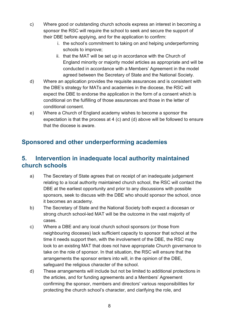- c) Where good or outstanding church schools express an interest in becoming a sponsor the RSC will require the school to seek and secure the support of their DBE before applying, and for the application to confirm:
	- i. the school's commitment to taking on and helping underperforming schools to improve;
	- ii. that the MAT will be set up in accordance with the Church of England minority or majority model articles as appropriate and will be conducted in accordance with a Members' Agreement in the model agreed between the Secretary of State and the National Society.
- d) Where an application provides the requisite assurances and is consistent with the DBE's strategy for MATs and academies in the diocese, the RSC will expect the DBE to endorse the application in the form of a consent which is conditional on the fulfilling of those assurances and those in the letter of conditional consent.
- e) Where a Church of England academy wishes to become a sponsor the expectation is that the process at 4 (c) and (d) above will be followed to ensure that the diocese is aware.

## **Sponsored and other underperforming academies**

#### <span id="page-7-0"></span>**5. Intervention in inadequate local authority maintained church schools**

- a) The Secretary of State agrees that on receipt of an inadequate judgement relating to a local authority maintained church school, the RSC will contact the DBE at the earliest opportunity and prior to any discussions with possible sponsors, seek to discuss with the DBE who should sponsor the school, once it becomes an academy.
- b) The Secretary of State and the National Society both expect a diocesan or strong church school-led MAT will be the outcome in the vast majority of cases.
- c) Where a DBE and any local church school sponsors (or those from neighbouring dioceses) lack sufficient capacity to sponsor that school at the time it needs support then, with the involvement of the DBE, the RSC may look to an existing MAT that does not have appropriate Church governance to take on the role of sponsor. In that situation, the RSC will ensure that the arrangements the sponsor enters into will, in the opinion of the DBE, safeguard the religious character of the school.
- d) These arrangements will include but not be limited to additional protections in the articles, and for funding agreements and a Members' Agreement confirming the sponsor, members and directors' various responsibilities for protecting the church school's character, and clarifying the role, and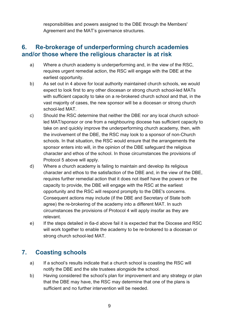responsibilities and powers assigned to the DBE through the Members' Agreement and the MAT's governance structures.

#### <span id="page-8-0"></span>**6. Re-brokerage of underperforming church academies and/or those where the religious character is at risk**

- a) Where a church academy is underperforming and, in the view of the RSC, requires urgent remedial action, the RSC will engage with the DBE at the earliest opportunity.
- b) As set out in 4 above for local authority maintained church schools, we would expect to look first to any other diocesan or strong church school-led MATs with sufficient capacity to take on a re-brokered church school and that, in the vast majority of cases, the new sponsor will be a diocesan or strong church school-led MAT.
- c) Should the RSC determine that neither the DBE nor any local church schoolled MAT/sponsor or one from a neighbouring diocese has sufficient capacity to take on and quickly improve the underperforming church academy, then, with the involvement of the DBE, the RSC may look to a sponsor of non-Church schools. In that situation, the RSC would ensure that the arrangements the sponsor enters into will, in the opinion of the DBE safeguard the religious character and ethos of the school. In those circumstances the provisions of Protocol 5 above will apply.
- d) Where a church academy is failing to maintain and develop its religious character and ethos to the satisfaction of the DBE and, in the view of the DBE, requires further remedial action that it does not itself have the powers or the capacity to provide, the DBE will engage with the RSC at the earliest opportunity and the RSC will respond promptly to the DBE's concerns. Consequent actions may include (if the DBE and Secretary of State both agree) the re-brokering of the academy into a different MAT. In such circumstances the provisions of Protocol 4 will apply insofar as they are relevant.
- e) If the steps detailed in 6a-d above fail it is expected that the Diocese and RSC will work together to enable the academy to be re-brokered to a diocesan or strong church school-led MAT.

## <span id="page-8-1"></span>**7. Coasting schools**

- a) If a school's results indicate that a church school is coasting the RSC will notify the DBE and the site trustees alongside the school.
- b) Having considered the school's plan for improvement and any strategy or plan that the DBE may have, the RSC may determine that one of the plans is sufficient and no further intervention will be needed.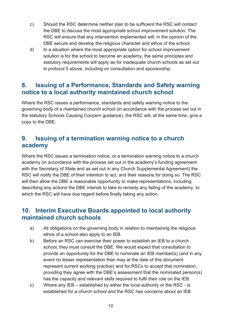- c) Should the RSC determine neither plan to be sufficient the RSC will contact the DBE to discuss the most appropriate school improvement solution. The RSC will ensure that any intervention implemented will, in the opinion of the DBE secure and develop the religious character and ethos of the school.
- d) In a situation where the most appropriate option for school improvement solution is for the school to become an academy, the same principles and statutory requirements will apply as for inadequate church schools as set out in protocol 5 above, including on consultation and sponsorship.

#### <span id="page-9-0"></span>**8. Issuing of a Performance, Standards and Safety warning notice to a local authority maintained church school**

Where the RSC issues a performance, standards and safety warning notice to the governing body of a maintained church school (in accordance with the process set out in the statutory Schools Causing Concern guidance), the RSC will, at the same time, give a copy to the DBE.

#### <span id="page-9-1"></span>**9. Issuing of a termination warning notice to a church academy**

Where the RSC issues a termination notice, or a termination warning notice to a church academy (in accordance with the process set out in the academy's funding agreement with the Secretary of State and as set out in any Church Supplemental Agreement) the RSC will notify the DBE of their intention to act, and their reasons for doing so. The RSC will then allow the DBE a reasonable opportunity to make representations, including describing any actions the DBE intends to take to remedy any failing of the academy, to which the RSC will have due regard before finally taking any action.

#### <span id="page-9-2"></span>**10. Interim Executive Boards appointed to local authority maintained church schools**

- a) All obligations on the governing body in relation to maintaining the religious ethos of a school also apply to an IEB.
- b) Before an RSC can exercise their power to establish an IEB to a church school, they must consult the DBE. We would expect that consultation to provide an opportunity for the DBE to nominate an IEB member(s) (and in any event no lesser representation than may at the date of this document represent current working practice) and for RSCs to accept that nomination, providing they agree with the DBE's assessment that the nominated person(s) has the capacity and relevant skills required to fulfil their role on the IEB.
- c) Where any IEB established by either the local authority or the RSC is established for a church school and the RSC has concerns about an IEB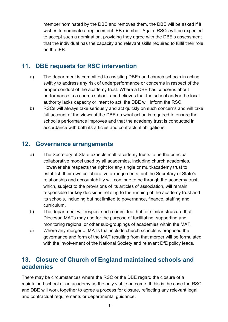member nominated by the DBE and removes them, the DBE will be asked if it wishes to nominate a replacement IEB member. Again, RSCs will be expected to accept such a nomination, providing they agree with the DBE's assessment that the individual has the capacity and relevant skills required to fulfil their role on the IEB.

#### <span id="page-10-0"></span>**11. DBE requests for RSC intervention**

- a) The department is committed to assisting DBEs and church schools in acting swiftly to address any risk of underperformance or concerns in respect of the proper conduct of the academy trust. Where a DBE has concerns about performance in a church school, and believes that the school and/or the local authority lacks capacity or intent to act, the DBE will inform the RSC.
- b) RSCs will always take seriously and act quickly on such concerns and will take full account of the views of the DBE on what action is required to ensure the school's performance improves and that the academy trust is conducted in accordance with both its articles and contractual obligations.

#### <span id="page-10-1"></span>**12. Governance arrangements**

- a) The Secretary of State expects multi-academy trusts to be the principal collaborative model used by all academies, including church academies. However she respects the right for any single or multi-academy trust to establish their own collaborative arrangements, but the Secretary of State's relationship and accountability will continue to be through the academy trust, which, subject to the provisions of its articles of association, will remain responsible for key decisions relating to the running of the academy trust and its schools, including but not limited to governance, finance, staffing and curriculum.
- b) The department will respect such committee, hub or similar structure that Diocesan MATs may use for the purpose of facilitating, supporting and monitoring regional or other sub-groupings of academies within the MAT.
- c) Where any merger of MATs that include church schools is proposed the governance and form of the MAT resulting from that merger will be formulated with the involvement of the National Society and relevant DfE policy leads.

#### <span id="page-10-2"></span>**13. Closure of Church of England maintained schools and academies**

There may be circumstances where the RSC or the DBE regard the closure of a maintained school or an academy as the only viable outcome. If this is the case the RSC and DBE will work together to agree a process for closure, reflecting any relevant legal and contractual requirements or departmental guidance.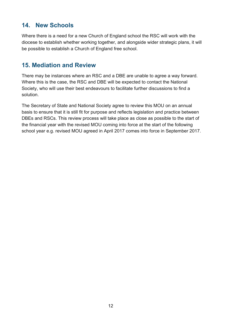## <span id="page-11-0"></span>**14. New Schools**

Where there is a need for a new Church of England school the RSC will work with the diocese to establish whether working together, and alongside wider strategic plans, it will be possible to establish a Church of England free school.

#### <span id="page-11-1"></span>**15. Mediation and Review**

There may be instances where an RSC and a DBE are unable to agree a way forward. Where this is the case, the RSC and DBE will be expected to contact the National Society, who will use their best endeavours to facilitate further discussions to find a solution.

The Secretary of State and National Society agree to review this MOU on an annual basis to ensure that it is still fit for purpose and reflects legislation and practice between DBEs and RSCs. This review process will take place as close as possible to the start of the financial year with the revised MOU coming into force at the start of the following school year e.g. revised MOU agreed in April 2017 comes into force in September 2017.